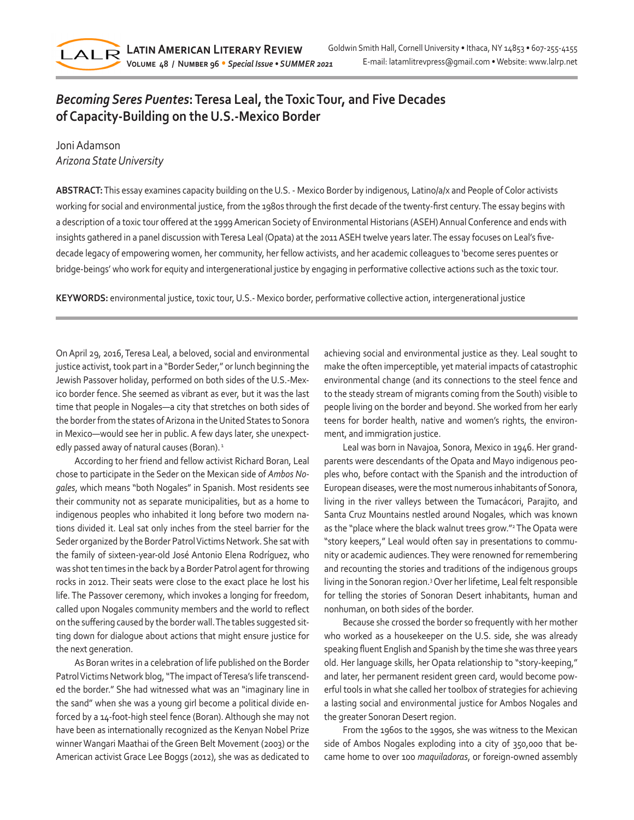

# *Becoming Seres Puentes***: Teresa Leal, the Toxic Tour, and Five Decades of Capacity-Building on the U.S.-Mexico Border**

# Joni Adamson *Arizona State University*

**ABSTRACT:** This essay examines capacity building on the U.S. - Mexico Border by indigenous, Latino/a/x and People of Color activists working for social and environmental justice, from the 1980s through the first decade of the twenty-first century. The essay begins with a description of a toxic tour offered at the 1999 American Society of Environmental Historians (ASEH) Annual Conference and ends with insights gathered in a panel discussion with Teresa Leal (Opata) at the 2011 ASEH twelve years later. The essay focuses on Leal's fivedecade legacy of empowering women, her community, her fellow activists, and her academic colleagues to 'become seres puentes or bridge-beings' who work for equity and intergenerational justice by engaging in performative collective actions such as the toxic tour.

**KEYWORDS:** environmental justice, toxic tour, U.S.- Mexico border, performative collective action, intergenerational justice

On April 29, 2016, Teresa Leal, a beloved, social and environmental justice activist, took part in a "Border Seder," or lunch beginning the Jewish Passover holiday, performed on both sides of the U.S.-Mexico border fence. She seemed as vibrant as ever, but it was the last time that people in Nogales—a city that stretches on both sides of the border from the states of Arizona in the United States to Sonora in Mexico—would see her in public. A few days later, she unexpectedly passed away of natural causes (Boran).<sup>1</sup>

According to her friend and fellow activist Richard Boran, Leal chose to participate in the Seder on the Mexican side of *Ambos Nogales*, which means "both Nogales" in Spanish. Most residents see their community not as separate municipalities, but as a home to indigenous peoples who inhabited it long before two modern nations divided it. Leal sat only inches from the steel barrier for the Seder organized by the Border Patrol Victims Network. She sat with the family of sixteen-year-old José Antonio Elena Rodríguez, who was shot ten times in the back by a Border Patrol agent for throwing rocks in 2012. Their seats were close to the exact place he lost his life. The Passover ceremony, which invokes a longing for freedom, called upon Nogales community members and the world to reflect on the suffering caused by the border wall. The tables suggested sitting down for dialogue about actions that might ensure justice for the next generation.

As Boran writes in a celebration of life published on the Border Patrol Victims Network blog, "The impact of Teresa's life transcended the border." She had witnessed what was an "imaginary line in the sand" when she was a young girl become a political divide enforced by a 14-foot-high steel fence (Boran). Although she may not have been as internationally recognized as the Kenyan Nobel Prize winner Wangari Maathai of the Green Belt Movement (2003) or the American activist Grace Lee Boggs (2012), she was as dedicated to

achieving social and environmental justice as they. Leal sought to make the often imperceptible, yet material impacts of catastrophic environmental change (and its connections to the steel fence and to the steady stream of migrants coming from the South) visible to people living on the border and beyond. She worked from her early teens for border health, native and women's rights, the environment, and immigration justice.

Leal was born in Navajoa, Sonora, Mexico in 1946. Her grandparents were descendants of the Opata and Mayo indigenous peoples who, before contact with the Spanish and the introduction of European diseases, were the most numerous inhabitants of Sonora, living in the river valleys between the Tumacácori, Parajito, and Santa Cruz Mountains nestled around Nogales, which was known as the "place where the black walnut trees grow."<sup>2</sup> The Opata were "story keepers," Leal would often say in presentations to community or academic audiences. They were renowned for remembering and recounting the stories and traditions of the indigenous groups living in the Sonoran region.3 Over her lifetime, Leal felt responsible for telling the stories of Sonoran Desert inhabitants, human and nonhuman, on both sides of the border.

Because she crossed the border so frequently with her mother who worked as a housekeeper on the U.S. side, she was already speaking fluent English and Spanish by the time she was three years old. Her language skills, her Opata relationship to "story-keeping," and later, her permanent resident green card, would become powerful tools in what she called her toolbox of strategies for achieving a lasting social and environmental justice for Ambos Nogales and the greater Sonoran Desert region.

From the 1960s to the 1990s, she was witness to the Mexican side of Ambos Nogales exploding into a city of 350,000 that became home to over 100 *maquiladoras*, or foreign-owned assembly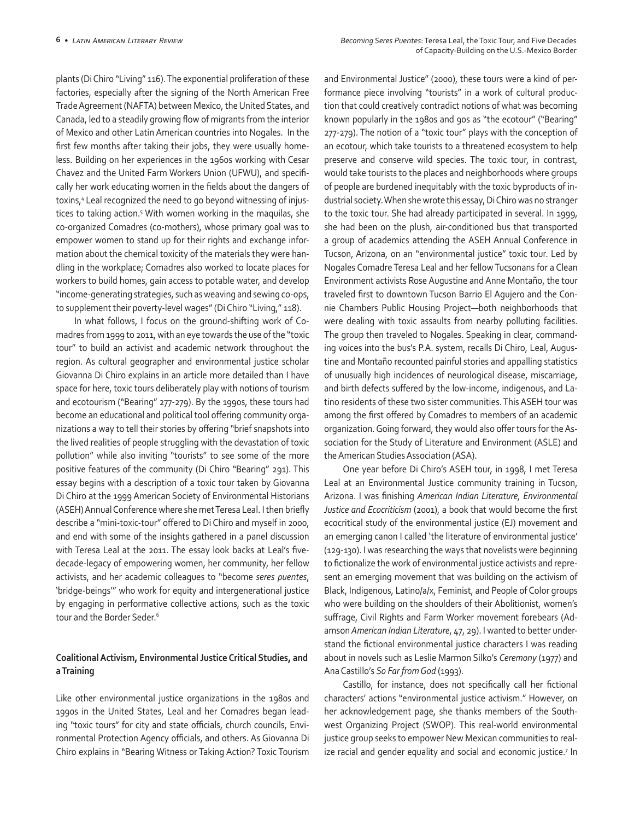plants (Di Chiro "Living" 116). The exponential proliferation of these factories, especially after the signing of the North American Free Trade Agreement (NAFTA) between Mexico, the United States, and Canada, led to a steadily growing flow of migrants from the interior of Mexico and other Latin American countries into Nogales. In the first few months after taking their jobs, they were usually homeless. Building on her experiences in the 1960s working with Cesar Chavez and the United Farm Workers Union (UFWU), and specifically her work educating women in the fields about the dangers of toxins,<sup>4</sup> Leal recognized the need to go beyond witnessing of injustices to taking action.5 With women working in the maquilas, she co-organized Comadres (co-mothers), whose primary goal was to empower women to stand up for their rights and exchange information about the chemical toxicity of the materials they were handling in the workplace; Comadres also worked to locate places for workers to build homes, gain access to potable water, and develop "income-generating strategies, such as weaving and sewing co-ops, to supplement their poverty-level wages" (Di Chiro "Living," 118).

In what follows, I focus on the ground-shifting work of Comadres from 1999 to 2011, with an eye towards the use of the "toxic tour" to build an activist and academic network throughout the region. As cultural geographer and environmental justice scholar Giovanna Di Chiro explains in an article more detailed than I have space for here, toxic tours deliberately play with notions of tourism and ecotourism ("Bearing" 277-279). By the 1990s, these tours had become an educational and political tool offering community organizations a way to tell their stories by offering "brief snapshots into the lived realities of people struggling with the devastation of toxic pollution" while also inviting "tourists" to see some of the more positive features of the community (Di Chiro "Bearing" 291). This essay begins with a description of a toxic tour taken by Giovanna Di Chiro at the 1999 American Society of Environmental Historians (ASEH) Annual Conference where she met Teresa Leal. I then briefly describe a "mini-toxic-tour" offered to Di Chiro and myself in 2000, and end with some of the insights gathered in a panel discussion with Teresa Leal at the 2011. The essay look backs at Leal's fivedecade-legacy of empowering women, her community, her fellow activists, and her academic colleagues to "become *seres puentes*, 'bridge-beings'" who work for equity and intergenerational justice by engaging in performative collective actions, such as the toxic tour and the Border Seder.<sup>6</sup>

# **Coalitional Activism, Environmental Justice Critical Studies, and a Training**

Like other environmental justice organizations in the 1980s and 1990s in the United States, Leal and her Comadres began leading "toxic tours" for city and state officials, church councils, Environmental Protection Agency officials, and others. As Giovanna Di Chiro explains in "Bearing Witness or Taking Action? Toxic Tourism

and Environmental Justice" (2000), these tours were a kind of performance piece involving "tourists" in a work of cultural production that could creatively contradict notions of what was becoming known popularly in the 1980s and 90s as "the ecotour" ("Bearing" 277-279). The notion of a "toxic tour" plays with the conception of an ecotour, which take tourists to a threatened ecosystem to help preserve and conserve wild species. The toxic tour, in contrast, would take tourists to the places and neighborhoods where groups of people are burdened inequitably with the toxic byproducts of industrial society. When she wrote this essay, Di Chiro was no stranger to the toxic tour. She had already participated in several. In 1999, she had been on the plush, air-conditioned bus that transported a group of academics attending the ASEH Annual Conference in Tucson, Arizona, on an "environmental justice" toxic tour. Led by Nogales Comadre Teresa Leal and her fellow Tucsonans for a Clean Environment activists Rose Augustine and Anne Montaño, the tour traveled first to downtown Tucson Barrio El Agujero and the Connie Chambers Public Housing Project—both neighborhoods that were dealing with toxic assaults from nearby polluting facilities. The group then traveled to Nogales. Speaking in clear, commanding voices into the bus's P.A. system, recalls Di Chiro, Leal, Augustine and Montaño recounted painful stories and appalling statistics of unusually high incidences of neurological disease, miscarriage, and birth defects suffered by the low-income, indigenous, and Latino residents of these two sister communities. This ASEH tour was among the first offered by Comadres to members of an academic organization. Going forward, they would also offer tours for the Association for the Study of Literature and Environment (ASLE) and the American Studies Association (ASA).

One year before Di Chiro's ASEH tour, in 1998, I met Teresa Leal at an Environmental Justice community training in Tucson, Arizona. I was finishing *American Indian Literature, Environmental Justice and Ecocriticism* (2001), a book that would become the first ecocritical study of the environmental justice (EJ) movement and an emerging canon I called 'the literature of environmental justice' (129-130). I was researching the ways that novelists were beginning to fictionalize the work of environmental justice activists and represent an emerging movement that was building on the activism of Black, Indigenous, Latino/a/x, Feminist, and People of Color groups who were building on the shoulders of their Abolitionist, women's suffrage, Civil Rights and Farm Worker movement forebears (Adamson *American Indian Literature*, 47, 29). I wanted to better understand the fictional environmental justice characters I was reading about in novels such as Leslie Marmon Silko's *Ceremony* (1977) and Ana Castillo's *So Far from God* (1993).

Castillo, for instance, does not specifically call her fictional characters' actions "environmental justice activism." However, on her acknowledgement page, she thanks members of the Southwest Organizing Project (SWOP). This real-world environmental justice group seeks to empower New Mexican communities to realize racial and gender equality and social and economic justice.<sup>7</sup> In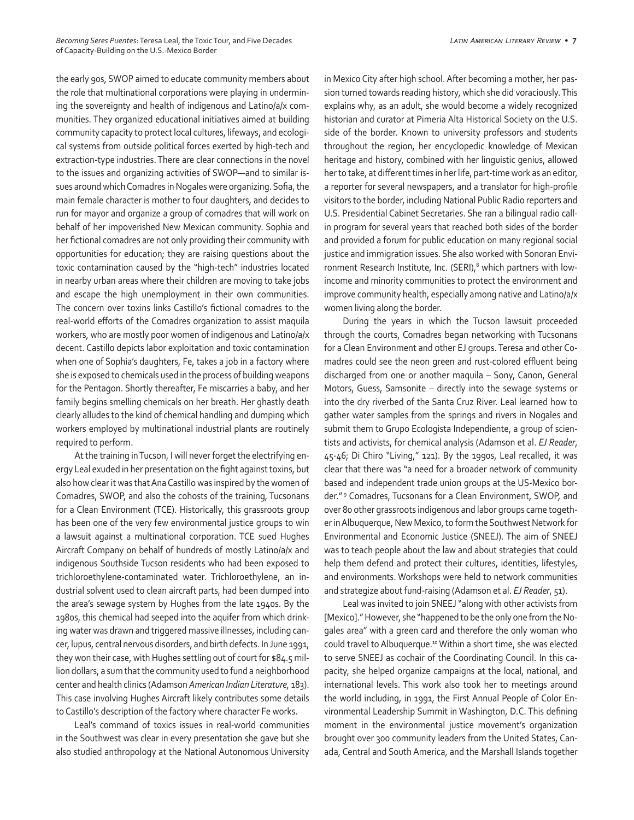the early 90s, SWOP aimed to educate community members about the role that multinational corporations were playing in undermining the sovereignty and health of indigenous and Latino/a/x communities. They organized educational initiatives aimed at building community capacity to protect local cultures, lifeways, and ecological systems from outside political forces exerted by high-tech and extraction-type industries. There are clear connections in the novel to the issues and organizing activities of SWOP—and to similar issues around which Comadres in Nogales were organizing. Sofia, the main female character is mother to four daughters, and decides to run for mayor and organize a group of comadres that will work on behalf of her impoverished New Mexican community. Sophia and her fictional comadres are not only providing their community with opportunities for education; they are raising questions about the toxic contamination caused by the "high-tech" industries located in nearby urban areas where their children are moving to take jobs and escape the high unemployment in their own communities. The concern over toxins links Castillo's fictional comadres to the real-world efforts of the Comadres organization to assist maquila workers, who are mostly poor women of indigenous and Latino/a/x decent. Castillo depicts labor exploitation and toxic contamination when one of Sophia's daughters, Fe, takes a job in a factory where she is exposed to chemicals used in the process of building weapons for the Pentagon. Shortly thereafter, Fe miscarries a baby, and her family begins smelling chemicals on her breath. Her ghastly death clearly alludes to the kind of chemical handling and dumping which workers employed by multinational industrial plants are routinely required to perform.

At the training in Tucson, I will never forget the electrifying energy Leal exuded in her presentation on the fight against toxins, but also how clear it was that Ana Castillo was inspired by the women of Comadres, SWOP, and also the cohosts of the training, Tucsonans for a Clean Environment (TCE). Historically, this grassroots group has been one of the very few environmental justice groups to win a lawsuit against a multinational corporation. TCE sued Hughes Aircraft Company on behalf of hundreds of mostly Latino/a/x and indigenous Southside Tucson residents who had been exposed to trichloroethylene-contaminated water. Trichloroethylene, an industrial solvent used to clean aircraft parts, had been dumped into the area's sewage system by Hughes from the late 1940s. By the 1980s, this chemical had seeped into the aquifer from which drinking water was drawn and triggered massive illnesses, including cancer, lupus, central nervous disorders, and birth defects. In June 1991, they won their case, with Hughes settling out of court for \$84.5 million dollars, a sum that the community used to fund a neighborhood center and health clinics (Adamson *American Indian Literature,* 183). This case involving Hughes Aircraft likely contributes some details to Castillo's description of the factory where character Fe works.

Leal's command of toxics issues in real-world communities in the Southwest was clear in every presentation she gave but she also studied anthropology at the National Autonomous University

in Mexico City after high school. After becoming a mother, her passion turned towards reading history, which she did voraciously. This explains why, as an adult, she would become a widely recognized historian and curator at Pimeria Alta Historical Society on the U.S. side of the border. Known to university professors and students throughout the region, her encyclopedic knowledge of Mexican heritage and history, combined with her linguistic genius, allowed her to take, at different times in her life, part-time work as an editor, a reporter for several newspapers, and a translator for high-profile visitors to the border, including National Public Radio reporters and U.S. Presidential Cabinet Secretaries. She ran a bilingual radio callin program for several years that reached both sides of the border and provided a forum for public education on many regional social justice and immigration issues. She also worked with Sonoran Environment Research Institute, Inc. (SERI),<sup>8</sup> which partners with lowincome and minority communities to protect the environment and improve community health, especially among native and Latino/a/x women living along the border.

During the years in which the Tucson lawsuit proceeded through the courts, Comadres began networking with Tucsonans for a Clean Environment and other EJ groups. Teresa and other Comadres could see the neon green and rust-colored effluent being discharged from one or another maquila – Sony, Canon, General Motors, Guess, Samsonite – directly into the sewage systems or into the dry riverbed of the Santa Cruz River. Leal learned how to gather water samples from the springs and rivers in Nogales and submit them to Grupo Ecologista Independiente, a group of scientists and activists, for chemical analysis (Adamson et al. *EJ Reader*, 45-46; Di Chiro "Living," 121). By the 1990s, Leal recalled, it was clear that there was "a need for a broader network of community based and independent trade union groups at the US-Mexico border." 9 Comadres, Tucsonans for a Clean Environment, SWOP, and over 80 other grassroots indigenous and labor groups came together in Albuquerque, New Mexico, to form the Southwest Network for Environmental and Economic Justice (SNEEJ). The aim of SNEEJ was to teach people about the law and about strategies that could help them defend and protect their cultures, identities, lifestyles, and environments. Workshops were held to network communities and strategize about fund-raising (Adamson et al. *EJ Reader*, 51).

Leal was invited to join SNEEJ "along with other activists from [Mexico]." However, she "happened to be the only one from the Nogales area" with a green card and therefore the only woman who could travel to Albuquerque.10 Within a short time, she was elected to serve SNEEJ as cochair of the Coordinating Council. In this capacity, she helped organize campaigns at the local, national, and international levels. This work also took her to meetings around the world including, in 1991, the First Annual People of Color Environmental Leadership Summit in Washington, D.C. This defining moment in the environmental justice movement's organization brought over 300 community leaders from the United States, Canada, Central and South America, and the Marshall Islands together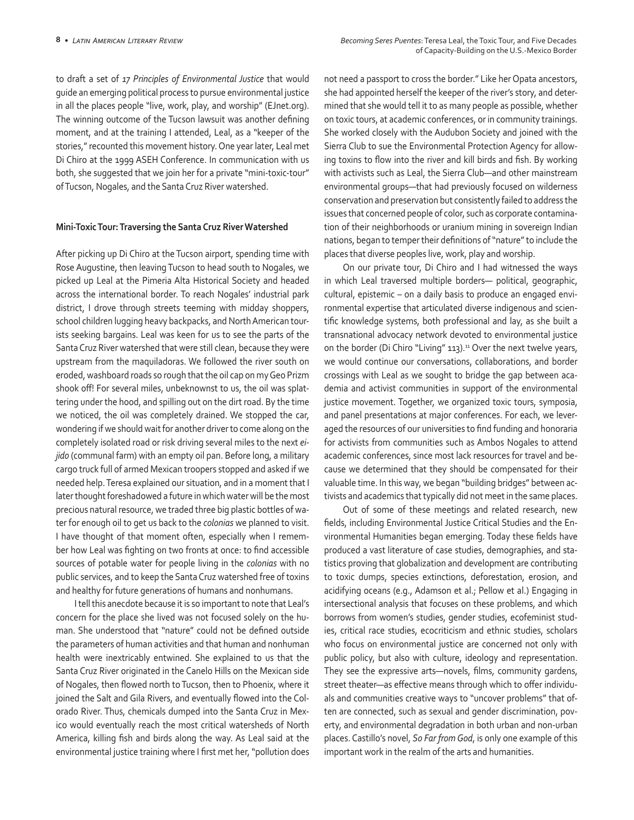to draft a set of *17 Principles of Environmental Justice* that would guide an emerging political process to pursue environmental justice in all the places people "live, work, play, and worship" (EJnet.org). The winning outcome of the Tucson lawsuit was another defining moment, and at the training I attended, Leal, as a "keeper of the stories," recounted this movement history. One year later, Leal met Di Chiro at the 1999 ASEH Conference. In communication with us both, she suggested that we join her for a private "mini-toxic-tour" of Tucson, Nogales, and the Santa Cruz River watershed.

#### **Mini-Toxic Tour: Traversing the Santa Cruz River Watershed**

After picking up Di Chiro at the Tucson airport, spending time with Rose Augustine, then leaving Tucson to head south to Nogales, we picked up Leal at the Pimeria Alta Historical Society and headed across the international border. To reach Nogales' industrial park district, I drove through streets teeming with midday shoppers, school children lugging heavy backpacks, and North American tourists seeking bargains. Leal was keen for us to see the parts of the Santa Cruz River watershed that were still clean, because they were upstream from the maquiladoras. We followed the river south on eroded, washboard roads so rough that the oil cap on my Geo Prizm shook off! For several miles, unbeknownst to us, the oil was splattering under the hood, and spilling out on the dirt road. By the time we noticed, the oil was completely drained. We stopped the car, wondering if we should wait for another driver to come along on the completely isolated road or risk driving several miles to the next *eijido* (communal farm) with an empty oil pan. Before long, a military cargo truck full of armed Mexican troopers stopped and asked if we needed help. Teresa explained our situation, and in a moment that I later thought foreshadowed a future in which water will be the most precious natural resource, we traded three big plastic bottles of water for enough oil to get us back to the *colonias* we planned to visit. I have thought of that moment often, especially when I remember how Leal was fighting on two fronts at once: to find accessible sources of potable water for people living in the *colonias* with no public services, and to keep the Santa Cruz watershed free of toxins and healthy for future generations of humans and nonhumans.

I tell this anecdote because it is so important to note that Leal's concern for the place she lived was not focused solely on the human. She understood that "nature" could not be defined outside the parameters of human activities and that human and nonhuman health were inextricably entwined. She explained to us that the Santa Cruz River originated in the Canelo Hills on the Mexican side of Nogales, then flowed north to Tucson, then to Phoenix, where it joined the Salt and Gila Rivers, and eventually flowed into the Colorado River. Thus, chemicals dumped into the Santa Cruz in Mexico would eventually reach the most critical watersheds of North America, killing fish and birds along the way. As Leal said at the environmental justice training where I first met her, "pollution does

not need a passport to cross the border." Like her Opata ancestors, she had appointed herself the keeper of the river's story, and determined that she would tell it to as many people as possible, whether on toxic tours, at academic conferences, or in community trainings. She worked closely with the Audubon Society and joined with the Sierra Club to sue the Environmental Protection Agency for allowing toxins to flow into the river and kill birds and fish. By working with activists such as Leal, the Sierra Club—and other mainstream environmental groups—that had previously focused on wilderness conservation and preservation but consistently failed to address the issues that concerned people of color, such as corporate contamination of their neighborhoods or uranium mining in sovereign Indian nations, began to temper their definitions of "nature" to include the places that diverse peoples live, work, play and worship.

On our private tour, Di Chiro and I had witnessed the ways in which Leal traversed multiple borders— political, geographic, cultural, epistemic – on a daily basis to produce an engaged environmental expertise that articulated diverse indigenous and scientific knowledge systems, both professional and lay, as she built a transnational advocacy network devoted to environmental justice on the border (Di Chiro "Living" 113).<sup>11</sup> Over the next twelve years, we would continue our conversations, collaborations, and border crossings with Leal as we sought to bridge the gap between academia and activist communities in support of the environmental justice movement. Together, we organized toxic tours, symposia, and panel presentations at major conferences. For each, we leveraged the resources of our universities to find funding and honoraria for activists from communities such as Ambos Nogales to attend academic conferences, since most lack resources for travel and because we determined that they should be compensated for their valuable time. In this way, we began "building bridges" between activists and academics that typically did not meet in the same places.

Out of some of these meetings and related research, new fields, including Environmental Justice Critical Studies and the Environmental Humanities began emerging. Today these fields have produced a vast literature of case studies, demographies, and statistics proving that globalization and development are contributing to toxic dumps, species extinctions, deforestation, erosion, and acidifying oceans (e.g., Adamson et al.; Pellow et al.) Engaging in intersectional analysis that focuses on these problems, and which borrows from women's studies, gender studies, ecofeminist studies, critical race studies, ecocriticism and ethnic studies, scholars who focus on environmental justice are concerned not only with public policy, but also with culture, ideology and representation. They see the expressive arts—novels, films, community gardens, street theater—as effective means through which to offer individuals and communities creative ways to "uncover problems" that often are connected, such as sexual and gender discrimination, poverty, and environmental degradation in both urban and non-urban places. Castillo's novel, *So Far from God*, is only one example of this important work in the realm of the arts and humanities.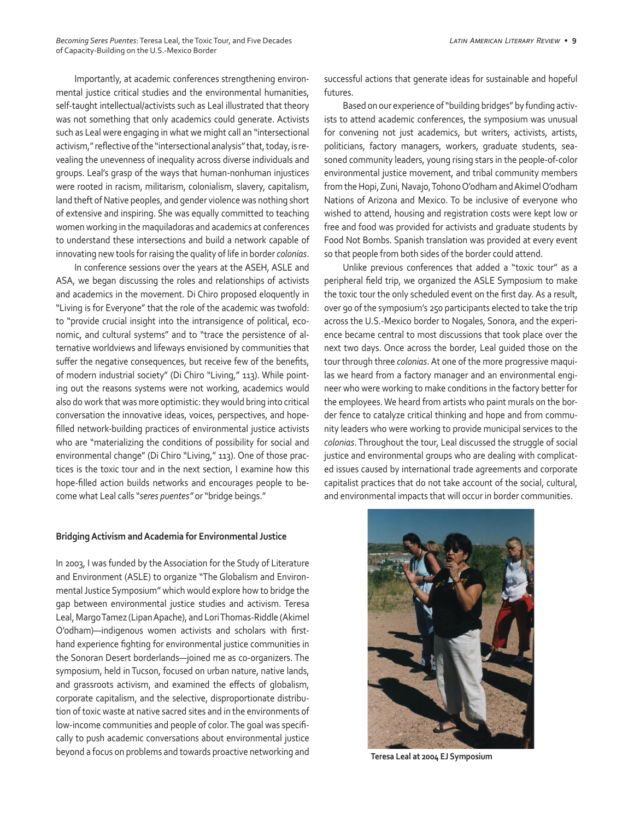*Becoming Seres Puentes*: Teresa Leal, the Toxic Tour, and Five Decades *Latin American Literary Review* **• 9** of Capacity-Building on the U.S.-Mexico Border

Importantly, at academic conferences strengthening environmental justice critical studies and the environmental humanities, self-taught intellectual/activists such as Leal illustrated that theory was not something that only academics could generate. Activists such as Leal were engaging in what we might call an "intersectional activism," reflective of the "intersectional analysis" that, today, is revealing the unevenness of inequality across diverse individuals and groups. Leal's grasp of the ways that human-nonhuman injustices were rooted in racism, militarism, colonialism, slavery, capitalism, land theft of Native peoples, and gender violence was nothing short of extensive and inspiring. She was equally committed to teaching women working in the maquiladoras and academics at conferences to understand these intersections and build a network capable of innovating new tools for raising the quality of life in border *colonias*.

In conference sessions over the years at the ASEH, ASLE and ASA, we began discussing the roles and relationships of activists and academics in the movement. Di Chiro proposed eloquently in "Living is for Everyone" that the role of the academic was twofold: to "provide crucial insight into the intransigence of political, economic, and cultural systems" and to "trace the persistence of alternative worldviews and lifeways envisioned by communities that suffer the negative consequences, but receive few of the benefits, of modern industrial society" (Di Chiro "Living," 113). While pointing out the reasons systems were not working, academics would also do work that was more optimistic: they would bring into critical conversation the innovative ideas, voices, perspectives, and hopefilled network-building practices of environmental justice activists who are "materializing the conditions of possibility for social and environmental change" (Di Chiro "Living," 113). One of those practices is the toxic tour and in the next section, I examine how this hope-filled action builds networks and encourages people to become what Leal calls "*seres puentes"* or "bridge beings."

#### **Bridging Activism and Academia for Environmental Justice**

In 2003, I was funded by the Association for the Study of Literature and Environment (ASLE) to organize "The Globalism and Environmental Justice Symposium" which would explore how to bridge the gap between environmental justice studies and activism. Teresa Leal, Margo Tamez (Lipan Apache), and Lori Thomas-Riddle (Akimel O'odham)—indigenous women activists and scholars with firsthand experience fighting for environmental justice communities in the Sonoran Desert borderlands—joined me as co-organizers. The symposium, held in Tucson, focused on urban nature, native lands, and grassroots activism, and examined the effects of globalism, corporate capitalism, and the selective, disproportionate distribution of toxic waste at native sacred sites and in the environments of low-income communities and people of color. The goal was specifically to push academic conversations about environmental justice beyond a focus on problems and towards proactive networking and successful actions that generate ideas for sustainable and hopeful futures.

Based on our experience of "building bridges" by funding activists to attend academic conferences, the symposium was unusual for convening not just academics, but writers, activists, artists, politicians, factory managers, workers, graduate students, seasoned community leaders, young rising stars in the people-of-color environmental justice movement, and tribal community members from the Hopi, Zuni, Navajo, Tohono O'odham and Akimel O'odham Nations of Arizona and Mexico. To be inclusive of everyone who wished to attend, housing and registration costs were kept low or free and food was provided for activists and graduate students by Food Not Bombs. Spanish translation was provided at every event so that people from both sides of the border could attend.

Unlike previous conferences that added a "toxic tour" as a peripheral field trip, we organized the ASLE Symposium to make the toxic tour the only scheduled event on the first day. As a result, over 90 of the symposium's 250 participants elected to take the trip across the U.S.-Mexico border to Nogales, Sonora, and the experience became central to most discussions that took place over the next two days. Once across the border, Leal guided those on the tour through three *colonias*. At one of the more progressive maquilas we heard from a factory manager and an environmental engineer who were working to make conditions in the factory better for the employees. We heard from artists who paint murals on the border fence to catalyze critical thinking and hope and from community leaders who were working to provide municipal services to the *colonias*. Throughout the tour, Leal discussed the struggle of social justice and environmental groups who are dealing with complicated issues caused by international trade agreements and corporate capitalist practices that do not take account of the social, cultural, and environmental impacts that will occur in border communities.



 **Teresa Leal at 2004 EJ Symposium**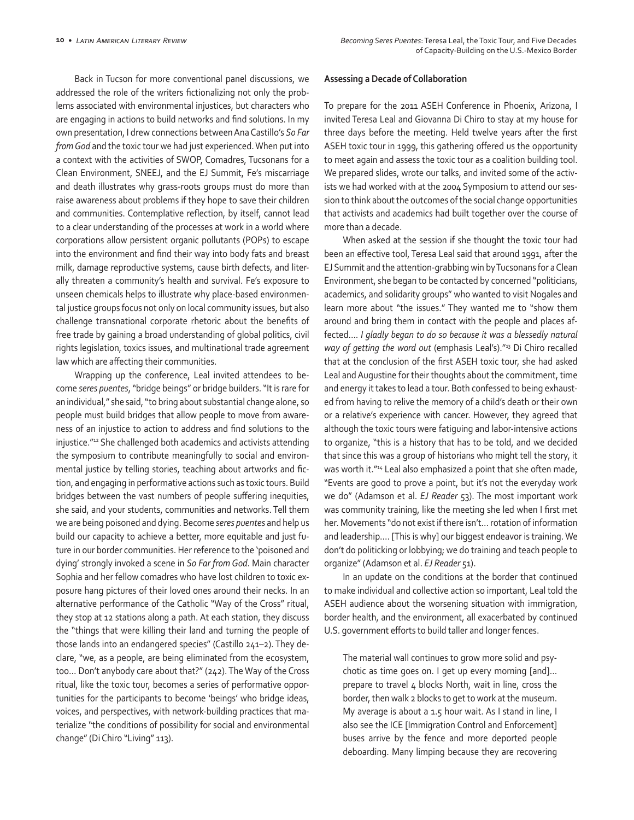Back in Tucson for more conventional panel discussions, we addressed the role of the writers fictionalizing not only the problems associated with environmental injustices, but characters who are engaging in actions to build networks and find solutions. In my own presentation, I drew connections between Ana Castillo's *So Far from God* and the toxic tour we had just experienced. When put into a context with the activities of SWOP, Comadres, Tucsonans for a Clean Environment, SNEEJ, and the EJ Summit, Fe's miscarriage and death illustrates why grass-roots groups must do more than raise awareness about problems if they hope to save their children and communities. Contemplative reflection, by itself, cannot lead to a clear understanding of the processes at work in a world where corporations allow persistent organic pollutants (POPs) to escape into the environment and find their way into body fats and breast milk, damage reproductive systems, cause birth defects, and literally threaten a community's health and survival. Fe's exposure to unseen chemicals helps to illustrate why place-based environmental justice groups focus not only on local community issues, but also challenge transnational corporate rhetoric about the benefits of free trade by gaining a broad understanding of global politics, civil rights legislation, toxics issues, and multinational trade agreement law which are affecting their communities.

Wrapping up the conference, Leal invited attendees to become *seres puentes*, "bridge beings" or bridge builders. "It is rare for an individual," she said, "to bring about substantial change alone, so people must build bridges that allow people to move from awareness of an injustice to action to address and find solutions to the injustice."12 She challenged both academics and activists attending the symposium to contribute meaningfully to social and environmental justice by telling stories, teaching about artworks and fiction, and engaging in performative actions such as toxic tours. Build bridges between the vast numbers of people suffering inequities, she said, and your students, communities and networks. Tell them we are being poisoned and dying. Become *seres puentes* and help us build our capacity to achieve a better, more equitable and just future in our border communities. Her reference to the 'poisoned and dying' strongly invoked a scene in *So Far from God*. Main character Sophia and her fellow comadres who have lost children to toxic exposure hang pictures of their loved ones around their necks. In an alternative performance of the Catholic "Way of the Cross" ritual, they stop at 12 stations along a path. At each station, they discuss the "things that were killing their land and turning the people of those lands into an endangered species" (Castillo 241–2). They declare, "we, as a people, are being eliminated from the ecosystem, too… Don't anybody care about that?" (242). The Way of the Cross ritual, like the toxic tour, becomes a series of performative opportunities for the participants to become 'beings' who bridge ideas, voices, and perspectives, with network-building practices that materialize "the conditions of possibility for social and environmental change" (Di Chiro "Living" 113).

#### **Assessing a Decade of Collaboration**

To prepare for the 2011 ASEH Conference in Phoenix, Arizona, I invited Teresa Leal and Giovanna Di Chiro to stay at my house for three days before the meeting. Held twelve years after the first ASEH toxic tour in 1999, this gathering offered us the opportunity to meet again and assess the toxic tour as a coalition building tool. We prepared slides, wrote our talks, and invited some of the activists we had worked with at the 2004 Symposium to attend our session to think about the outcomes of the social change opportunities that activists and academics had built together over the course of more than a decade.

When asked at the session if she thought the toxic tour had been an effective tool, Teresa Leal said that around 1991, after the EJ Summit and the attention-grabbing win by Tucsonans for a Clean Environment, she began to be contacted by concerned "politicians, academics, and solidarity groups" who wanted to visit Nogales and learn more about "the issues." They wanted me to "show them around and bring them in contact with the people and places affected…. *I gladly began to do so because it was a blessedly natural way of getting the word out* (emphasis Leal's)."13 Di Chiro recalled that at the conclusion of the first ASEH toxic tour, she had asked Leal and Augustine for their thoughts about the commitment, time and energy it takes to lead a tour. Both confessed to being exhausted from having to relive the memory of a child's death or their own or a relative's experience with cancer. However, they agreed that although the toxic tours were fatiguing and labor-intensive actions to organize, "this is a history that has to be told, and we decided that since this was a group of historians who might tell the story, it was worth it."<sup>14</sup> Leal also emphasized a point that she often made, "Events are good to prove a point, but it's not the everyday work we do" (Adamson et al. *EJ Reader* 53). The most important work was community training, like the meeting she led when I first met her. Movements "do not exist if there isn't… rotation of information and leadership…. [This is why] our biggest endeavor is training. We don't do politicking or lobbying; we do training and teach people to organize" (Adamson et al. *EJ Reader* 51).

In an update on the conditions at the border that continued to make individual and collective action so important, Leal told the ASEH audience about the worsening situation with immigration, border health, and the environment, all exacerbated by continued U.S. government efforts to build taller and longer fences.

The material wall continues to grow more solid and psychotic as time goes on. I get up every morning [and]… prepare to travel 4 blocks North, wait in line, cross the border, then walk 2 blocks to get to work at the museum. My average is about a 1.5 hour wait. As I stand in line, I also see the ICE [Immigration Control and Enforcement] buses arrive by the fence and more deported people deboarding. Many limping because they are recovering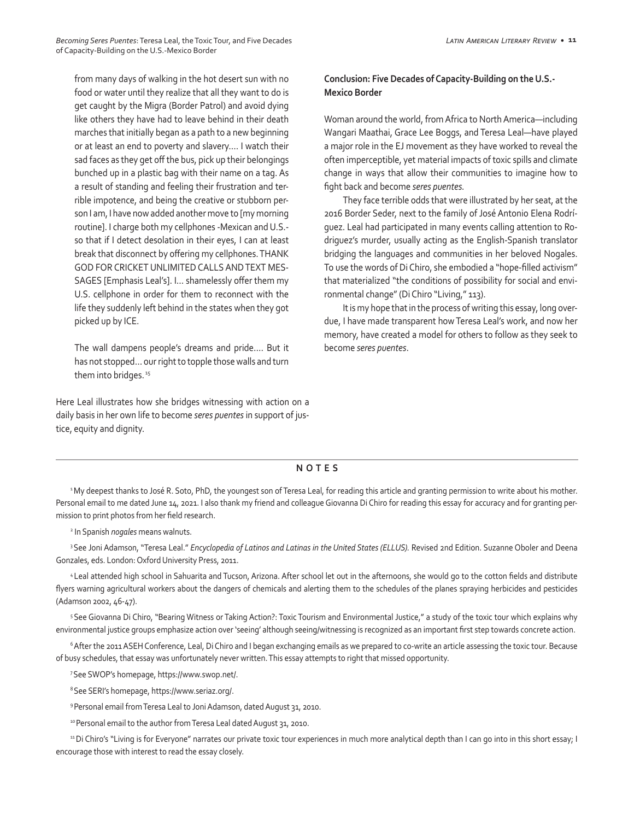from many days of walking in the hot desert sun with no food or water until they realize that all they want to do is get caught by the Migra (Border Patrol) and avoid dying like others they have had to leave behind in their death marches that initially began as a path to a new beginning or at least an end to poverty and slavery.… I watch their sad faces as they get off the bus, pick up their belongings bunched up in a plastic bag with their name on a tag. As a result of standing and feeling their frustration and terrible impotence, and being the creative or stubborn person I am, I have now added another move to [my morning routine]. I charge both my cellphones -Mexican and U.S. so that if I detect desolation in their eyes, I can at least break that disconnect by offering my cellphones. THANK GOD FOR CRICKET UNLIMITED CALLS AND TEXT MES-SAGES [Emphasis Leal's]. I… shamelessly offer them my U.S. cellphone in order for them to reconnect with the life they suddenly left behind in the states when they got picked up by ICE.

The wall dampens people's dreams and pride…. But it has not stopped… our right to topple those walls and turn them into bridges.<sup>15</sup>

Here Leal illustrates how she bridges witnessing with action on a daily basis in her own life to become *seres puentes* in support of justice, equity and dignity.

# **Conclusion: Five Decades of Capacity-Building on the U.S.- Mexico Border**

Woman around the world, from Africa to North America—including Wangari Maathai, Grace Lee Boggs, and Teresa Leal—have played a major role in the EJ movement as they have worked to reveal the often imperceptible, yet material impacts of toxic spills and climate change in ways that allow their communities to imagine how to fight back and become *seres puentes.*

They face terrible odds that were illustrated by her seat, at the 2016 Border Seder, next to the family of José Antonio Elena Rodríguez. Leal had participated in many events calling attention to Rodriguez's murder, usually acting as the English-Spanish translator bridging the languages and communities in her beloved Nogales. To use the words of Di Chiro, she embodied a "hope-filled activism" that materialized "the conditions of possibility for social and environmental change" (Di Chiro "Living," 113).

It is my hope that in the process of writing this essay, long overdue, I have made transparent how Teresa Leal's work, and now her memory, have created a model for others to follow as they seek to become *seres puentes*.

### **NOTES**

<sup>1</sup>My deepest thanks to José R. Soto, PhD, the youngest son of Teresa Leal, for reading this article and granting permission to write about his mother. Personal email to me dated June 14, 2021. I also thank my friend and colleague Giovanna Di Chiro for reading this essay for accuracy and for granting permission to print photos from her field research.

2 In Spanish *nogales* means walnuts.

<sup>3</sup> See Joni Adamson, "Teresa Leal." *Encyclopedia of Latinos and Latinas in the United States (ELLUS)*. Revised 2nd Edition. Suzanne Oboler and Deena Gonzales, eds. London: Oxford University Press, 2011.

<sup>4</sup>Leal attended high school in Sahuarita and Tucson, Arizona. After school let out in the afternoons, she would go to the cotton fields and distribute flyers warning agricultural workers about the dangers of chemicals and alerting them to the schedules of the planes spraying herbicides and pesticides (Adamson 2002, 46-47).

5 See Giovanna Di Chiro, "Bearing Witness or Taking Action?: Toxic Tourism and Environmental Justice," a study of the toxic tour which explains why environmental justice groups emphasize action over 'seeing' although seeing/witnessing is recognized as an important first step towards concrete action.

<sup>6</sup> After the 2011 ASEH Conference, Leal, Di Chiro and I began exchanging emails as we prepared to co-write an article assessing the toxic tour. Because of busy schedules, that essay was unfortunately never written. This essay attempts to right that missed opportunity.

7 See SWOP's homepage, https://www.swop.net/.

8 See SERI's homepage, https://www.seriaz.org/.

9 Personal email from Teresa Leal to Joni Adamson, dated August 31, 2010.

10 Personal email to the author from Teresa Leal dated August 31, 2010.

<sup>11</sup> Di Chiro's "Living is for Everyone" narrates our private toxic tour experiences in much more analytical depth than I can go into in this short essay; I encourage those with interest to read the essay closely.